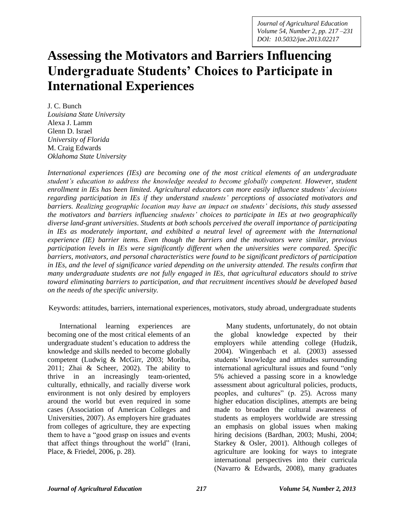*Journal of Agricultural Education Volume 54, Number 2, pp. 217 –231 DOI: 10.5032/jae.2013.02217*

# **Assessing the Motivators and Barriers Influencing Undergraduate Students' Choices to Participate in International Experiences**

J. C. Bunch *Louisiana State University* Alexa J. Lamm Glenn D. Israel *University of Florida* M. Craig Edwards *Oklahoma State University*

*International experiences (IEs) are becoming one of the most critical elements of an undergraduate student's education to address the knowledge needed to become globally competent. However, student enrollment in IEs has been limited. Agricultural educators can more easily influence students' decisions regarding participation in IEs if they understand students' perceptions of associated motivators and barriers. Realizing geographic location may have an impact on students' decisions, this study assessed the motivators and barriers influencing students' choices to participate in IEs at two geographically diverse land-grant universities*. *Students at both schools perceived the overall importance of participating in IEs as moderately important, and exhibited a neutral level of agreement with the International experience (IE) barrier items. Even though the barriers and the motivators were similar, previous participation levels in IEs were significantly different when the universities were compared. Specific barriers, motivators, and personal characteristics were found to be significant predictors of participation in IEs, and the level of significance varied depending on the university attended. The results confirm that many undergraduate students are not fully engaged in IEs, that agricultural educators should to strive toward eliminating barriers to participation, and that recruitment incentives should be developed based on the needs of the specific university.*

Keywords: attitudes, barriers, international experiences, motivators, study abroad, undergraduate students

International learning experiences are becoming one of the most critical elements of an undergraduate student's education to address the knowledge and skills needed to become globally competent (Ludwig & McGirr, 2003; Moriba, 2011; Zhai & Scheer, 2002). The ability to thrive in an increasingly team-oriented, culturally, ethnically, and racially diverse work environment is not only desired by employers around the world but even required in some cases (Association of American Colleges and Universities, 2007). As employers hire graduates from colleges of agriculture, they are expecting them to have a "good grasp on issues and events that affect things throughout the world" (Irani, Place, & Friedel, 2006, p. 28).

Many students, unfortunately, do not obtain the global knowledge expected by their employers while attending college (Hudzik, 2004). Wingenbach et al. (2003) assessed students' knowledge and attitudes surrounding international agricultural issues and found "only 5% achieved a passing score in a knowledge assessment about agricultural policies, products, peoples, and cultures" (p. 25). Across many higher education disciplines, attempts are being made to broaden the cultural awareness of students as employers worldwide are stressing an emphasis on global issues when making hiring decisions (Bardhan, 2003; Mushi, 2004; Starkey & Osler, 2001). Although colleges of agriculture are looking for ways to integrate international perspectives into their curricula (Navarro & Edwards, 2008), many graduates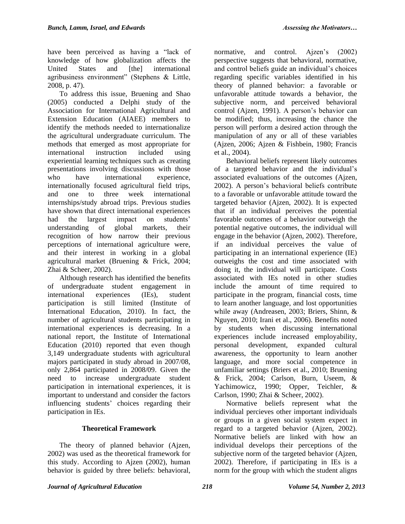have been perceived as having a "lack of knowledge of how globalization affects the United States and [the] international agribusiness environment" (Stephens & Little, 2008, p. 47).

To address this issue, Bruening and Shao (2005) conducted a Delphi study of the Association for International Agricultural and Extension Education (AIAEE) members to identify the methods needed to internationalize the agricultural undergraduate curriculum. The methods that emerged as most appropriate for international instruction included using experiential learning techniques such as creating presentations involving discussions with those who have international experience, internationally focused agricultural field trips, and one to three week international internships/study abroad trips. Previous studies have shown that direct international experiences had the largest impact on students' understanding of global markets, their recognition of how narrow their previous perceptions of international agriculture were, and their interest in working in a global agricultural market (Bruening & Frick, 2004; Zhai & Scheer, 2002).

Although research has identified the benefits of undergraduate student engagement in international experiences (IEs), student participation is still limited (Institute of International Education, 2010). In fact, the number of agricultural students participating in international experiences is decreasing. In a national report, the Institute of International Education (2010) reported that even though 3,149 undergraduate students with agricultural majors participated in study abroad in 2007/08, only 2,864 participated in 2008/09. Given the need to increase undergraduate student participation in international experiences, it is important to understand and consider the factors influencing students' choices regarding their participation in IEs.

## **Theoretical Framework**

The theory of planned behavior (Ajzen, 2002) was used as the theoretical framework for this study. According to Ajzen (2002), human behavior is guided by three beliefs: behavioral,

normative, and control. Ajzen's (2002) perspective suggests that behavioral, normative, and control beliefs guide an individual's choices regarding specific variables identified in his theory of planned behavior: a favorable or unfavorable attitude towards a behavior, the subjective norm, and perceived behavioral control (Ajzen, 1991). A person's behavior can be modified; thus, increasing the chance the person will perform a desired action through the manipulation of any or all of these variables (Ajzen, 2006; Ajzen & Fishbein, 1980; Francis et al., 2004).

Behavioral beliefs represent likely outcomes of a targeted behavior and the individual's associated evaluations of the outcomes (Ajzen, 2002). A person's behavioral beliefs contribute to a favorable or unfavorable attitude toward the targeted behavior (Ajzen, 2002). It is expected that if an individual perceives the potential favorable outcomes of a behavior outweigh the potential negative outcomes, the individual will engage in the behavior (Ajzen, 2002). Therefore, if an individual perceives the value of participating in an international experience (IE) outweighs the cost and time associated with doing it, the individual will participate. Costs associated with IEs noted in other studies include the amount of time required to participate in the program, financial costs, time to learn another language, and lost opportunities while away (Andreasen, 2003; Briers, Shinn, & Nguyen, 2010; Irani et al., 2006). Benefits noted by students when discussing international experiences include increased employability, personal development, expanded cultural awareness, the opportunity to learn another language, and more social competence in unfamiliar settings (Briers et al., 2010; Bruening & Frick, 2004; Carlson, Burn, Useem, & Yachimowicz, 1990; Opper, Teichler, & Carlson, 1990; Zhai & Scheer, 2002).

Normative beliefs represent what the individual percieves other important individuals or groups in a given social system expect in regard to a targeted behavior (Ajzen, 2002). Normative beliefs are linked with how an individual develops their perceptions of the subjective norm of the targeted behavior (Ajzen, 2002). Therefore, if participating in IEs is a norm for the group with which the student aligns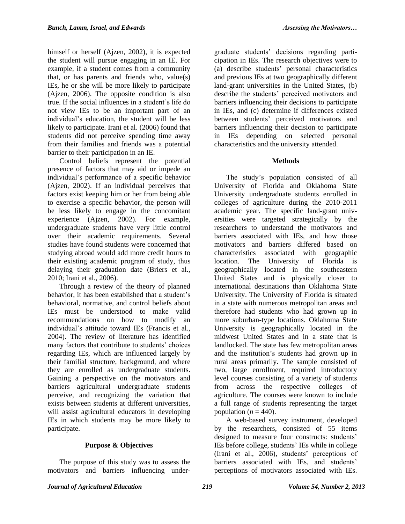himself or herself (Ajzen, 2002), it is expected the student will pursue engaging in an IE. For example, if a student comes from a community that, or has parents and friends who, value(s) IEs, he or she will be more likely to participate (Ajzen, 2006). The opposite condition is also true. If the social influences in a student's life do not view IEs to be an important part of an individual's education, the student will be less likely to participate. Irani et al. (2006) found that students did not perceive spending time away from their families and friends was a potential barrier to their participation in an IE.

Control beliefs represent the potential presence of factors that may aid or impede an individual's performance of a specific behavior (Ajzen, 2002). If an individual perceives that factors exist keeping him or her from being able to exercise a specific behavior, the person will be less likely to engage in the concomitant experience (Ajzen, 2002). For example, undergraduate students have very little control over their academic requirements. Several studies have found students were concerned that studying abroad would add more credit hours to their existing academic program of study, thus delaying their graduation date (Briers et al., 2010; Irani et al., 2006).

Through a review of the theory of planned behavior, it has been established that a student's behavioral, normative, and control beliefs about IEs must be understood to make valid recommendations on how to modify an individual's attitude toward IEs (Francis et al., 2004). The review of literature has identified many factors that contribute to students' choices regarding IEs, which are influenced largely by their familial structure, background, and where they are enrolled as undergraduate students. Gaining a perspective on the motivators and barriers agricultural undergraduate students perceive, and recognizing the variation that exists between students at different universities, will assist agricultural educators in developing IEs in which students may be more likely to participate.

## **Purpose & Objectives**

The purpose of this study was to assess the motivators and barriers influencing undergraduate students' decisions regarding participation in IEs. The research objectives were to (a) describe students' personal characteristics and previous IEs at two geographically different land-grant universities in the United States, (b) describe the students' perceived motivators and barriers influencing their decisions to participate in IEs, and (c) determine if differences existed between students' perceived motivators and barriers influencing their decision to participate in IEs depending on selected personal characteristics and the university attended.

#### **Methods**

The study's population consisted of all University of Florida and Oklahoma State University undergraduate students enrolled in colleges of agriculture during the 2010-2011 academic year. The specific land-grant universities were targeted strategically by the researchers to understand the motivators and barriers associated with IEs, and how those motivators and barriers differed based on characteristics associated with geographic location. The University of Florida is geographically located in the southeastern United States and is physically closer to international destinations than Oklahoma State University. The University of Florida is situated in a state with numerous metropolitan areas and therefore had students who had grown up in more suburban-type locations. Oklahoma State University is geographically located in the midwest United States and in a state that is landlocked. The state has few metropolitan areas and the institution's students had grown up in rural areas primarily. The sample consisted of two, large enrollment, required introductory level courses consisting of a variety of students from across the respective colleges of agriculture. The courses were known to include a full range of students representing the target population  $(n = 440)$ .

A web-based survey instrument, developed by the researchers, consisted of 55 items designed to measure four constructs: students' IEs before college, students' IEs while in college (Irani et al., 2006), students' perceptions of barriers associated with IEs, and students' perceptions of motivators associated with IEs.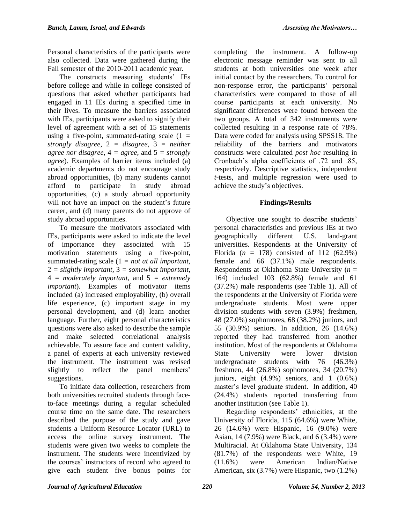Personal characteristics of the participants were also collected. Data were gathered during the Fall semester of the 2010-2011 academic year.

The constructs measuring students' IEs before college and while in college consisted of questions that asked whether participants had engaged in 11 IEs during a specified time in their lives. To measure the barriers associated with IEs, participants were asked to signify their level of agreement with a set of 15 statements using a five-point, summated-rating scale  $(1 =$ *strongly disagree*, 2 *= disagree*, 3 *= neither agree nor disagree*,  $4 = agree$ , and  $5 = strongly$ *agree*). Examples of barrier items included (a) academic departments do not encourage study abroad opportunities, (b) many students cannot afford to participate in study abroad opportunities, (c) a study abroad opportunity will not have an impact on the student's future career, and (d) many parents do not approve of study abroad opportunities.

To measure the motivators associated with IEs, participants were asked to indicate the level of importance they associated with 15 motivation statements using a five-point, summated-rating scale (1 *= not at all important,*  2 *= slightly important*, 3 *= somewhat important*, 4 *= moderately important*, and 5 *= extremely important*)*.* Examples of motivator items included (a) increased employability, (b) overall life experience, (c) important stage in my personal development, and (d) learn another language. Further, eight personal characteristics questions were also asked to describe the sample and make selected correlational analysis achievable. To assure face and content validity, a panel of experts at each university reviewed the instrument. The instrument was revised slightly to reflect the panel members' suggestions.

To initiate data collection, researchers from both universities recruited students through faceto-face meetings during a regular scheduled course time on the same date. The researchers described the purpose of the study and gave students a Uniform Resource Locator (URL) to access the online survey instrument. The students were given two weeks to complete the instrument. The students were incentivized by the courses' instructors of record who agreed to give each student five bonus points for

completing the instrument. A follow-up electronic message reminder was sent to all students at both universities one week after initial contact by the researchers. To control for non-response error, the participants' personal characteristics were compared to those of all course participants at each university. No significant differences were found between the two groups. A total of 342 instruments were collected resulting in a response rate of 78%. Data were coded for analysis using SPSS18. The reliability of the barriers and motivators constructs were calculated *post hoc* resulting in Cronbach's alpha coefficients of .72 and .85, respectively. Descriptive statistics, independent *t*-tests, and multiple regression were used to achieve the study's objectives.

### **Findings/Results**

Objective one sought to describe students' personal characteristics and previous IEs at two geographically different U.S. land-grant universities. Respondents at the University of Florida ( $n = 178$ ) consisted of 112 (62.9%) female and 66 (37.1%) male respondents. Respondents at Oklahoma State University (*n* = 164) included 103 (62.8%) female and 61 (37.2%) male respondents (see Table 1). All of the respondents at the University of Florida were undergraduate students. Most were upper division students with seven (3.9%) freshmen, 48 (27.0%) sophomores, 68 (38.2%) juniors, and 55 (30.9%) seniors. In addition, 26 (14.6%) reported they had transferred from another institution. Most of the respondents at Oklahoma State University were lower division undergraduate students with 76 (46.3%) freshmen, 44 (26.8%) sophomores, 34 (20.7%) juniors, eight (4.9%) seniors, and 1 (0.6%) master's level graduate student. In addition, 40 (24.4%) students reported transferring from another institution (see Table 1).

Regarding respondents' ethnicities, at the University of Florida, 115 (64.6%) were White, 26 (14.6%) were Hispanic, 16 (9.0%) were Asian, 14 (7.9%) were Black, and 6 (3.4%) were Multiracial. At Oklahoma State University, 134 (81.7%) of the respondents were White, 19 (11.6%) were American Indian/Native American, six (3.7%) were Hispanic, two (1.2%)

*Journal of Agricultural Education 220 Volume 54, Number 2, 2013*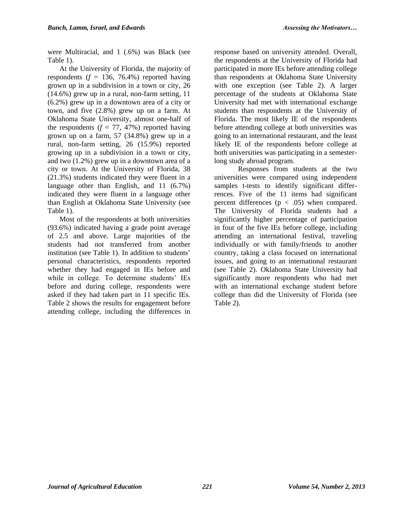were Multiracial, and 1 (.6%) was Black (see Table 1).

At the University of Florida, the majority of respondents  $(f = 136, 76.4\%)$  reported having grown up in a subdivision in a town or city, 26 (14.6%) grew up in a rural, non-farm setting, 11 (6.2%) grew up in a downtown area of a city or town, and five (2.8%) grew up on a farm. At Oklahoma State University, almost one-half of the respondents  $(f = 77, 47%)$  reported having grown up on a farm, 57 (34.8%) grew up in a rural, non-farm setting, 26 (15.9%) reported growing up in a subdivision in a town or city, and two (1.2%) grew up in a downtown area of a city or town. At the University of Florida, 38 (21.3%) students indicated they were fluent in a language other than English, and 11 (6.7%) indicated they were fluent in a language other than English at Oklahoma State University (see Table 1).

Most of the respondents at both universities (93.6%) indicated having a grade point average of 2.5 and above. Large majorities of the students had not transferred from another institution (see Table 1). In addition to students' personal characteristics, respondents reported whether they had engaged in IEs before and while in college. To determine students' IEs before and during college, respondents were asked if they had taken part in 11 specific IEs. Table 2 shows the results for engagement before attending college, including the differences in response based on university attended. Overall, the respondents at the University of Florida had participated in more IEs before attending college than respondents at Oklahoma State University with one exception (see Table 2). A larger percentage of the students at Oklahoma State University had met with international exchange students than respondents at the University of Florida. The most likely IE of the respondents before attending college at both universities was going to an international restaurant, and the least likely IE of the respondents before college at both universities was participating in a semesterlong study abroad program.

Responses from students at the two universities were compared using independent samples t-tests to identify significant differrences. Five of the 11 items had significant percent differences  $(p < .05)$  when compared. The University of Florida students had a significantly higher percentage of participation in four of the five IEs before college, including attending an international festival, traveling individually or with family/friends to another country, taking a class focused on international issues, and going to an international restaurant (see Table 2). Oklahoma State University had significantly more respondents who had met with an international exchange student before college than did the University of Florida (see Table 2).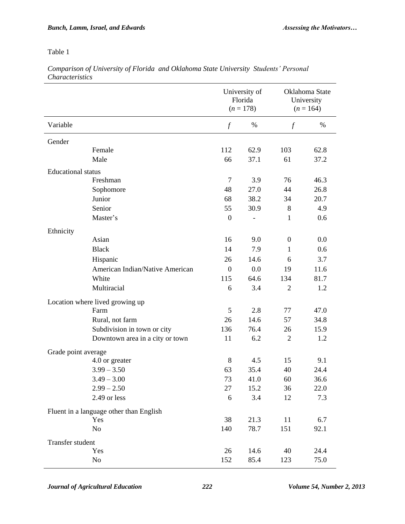*Comparison of University of Florida and Oklahoma State University Students' Personal Characteristics*

| University of<br>Oklahoma State<br>Florida<br>University<br>$(n = 178)$<br>$(n = 164)$ |      |
|----------------------------------------------------------------------------------------|------|
| Variable<br>$\int$<br>%<br>$\int f$                                                    | %    |
| Gender                                                                                 |      |
| 62.9<br>103<br>Female<br>112                                                           | 62.8 |
| Male<br>37.1<br>61<br>66                                                               | 37.2 |
| <b>Educational</b> status                                                              |      |
| $\overline{7}$<br>Freshman<br>3.9<br>76                                                | 46.3 |
| 27.0<br>44<br>48<br>Sophomore                                                          | 26.8 |
| Junior<br>38.2<br>68<br>34                                                             | 20.7 |
| Senior<br>55<br>30.9<br>8                                                              | 4.9  |
| Master's<br>$\boldsymbol{0}$<br>$\mathbf{1}$<br>$\qquad \qquad -$                      | 0.6  |
| Ethnicity                                                                              |      |
| Asian<br>9.0<br>16<br>$\boldsymbol{0}$                                                 | 0.0  |
| <b>Black</b><br>7.9<br>14<br>$\mathbf{1}$                                              | 0.6  |
| Hispanic<br>26<br>14.6<br>6                                                            | 3.7  |
| American Indian/Native American<br>0.0<br>$\overline{0}$<br>19                         | 11.6 |
| White<br>64.6<br>115<br>134                                                            | 81.7 |
| Multiracial<br>6<br>3.4<br>$\overline{2}$                                              | 1.2  |
| Location where lived growing up                                                        |      |
| 5<br>Farm<br>2.8<br>77                                                                 | 47.0 |
| 14.6<br>57<br>Rural, not farm<br>26                                                    | 34.8 |
| Subdivision in town or city<br>76.4<br>136<br>26                                       | 15.9 |
| 6.2<br>Downtown area in a city or town<br>11<br>$\overline{2}$                         | 1.2  |
| Grade point average                                                                    |      |
| 8<br>4.5<br>4.0 or greater<br>15                                                       | 9.1  |
| $3.99 - 3.50$<br>63<br>35.4<br>40                                                      | 24.4 |
| 73<br>$3.49 - 3.00$<br>41.0<br>60                                                      | 36.6 |
| $2.99 - 2.50$<br>27<br>15.2<br>36                                                      | 22.0 |
| 2.49 or less<br>6<br>3.4<br>12                                                         | 7.3  |
| Fluent in a language other than English                                                |      |
| Yes<br>38<br>21.3<br>11                                                                | 6.7  |
| No<br>140<br>78.7<br>151                                                               | 92.1 |
|                                                                                        |      |
| Transfer student<br>14.6<br>Yes<br>26<br>40                                            | 24.4 |
| 85.4<br>No<br>152<br>123                                                               | 75.0 |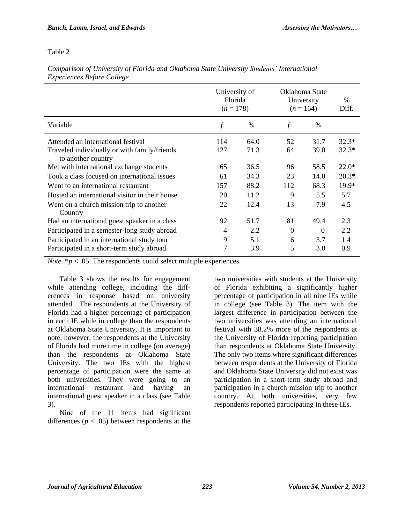|                                                                                                          | University of<br>Florida<br>$(n = 178)$ |               | Oklahoma State<br>University<br>$(n = 164)$ |               | $\%$<br>Diff.      |
|----------------------------------------------------------------------------------------------------------|-----------------------------------------|---------------|---------------------------------------------|---------------|--------------------|
| Variable                                                                                                 | $\int$                                  | $\frac{0}{0}$ | $\mathcal{f}$                               | $\frac{0}{0}$ |                    |
| Attended an international festival<br>Traveled individually or with family/friends<br>to another country | 114<br>127                              | 64.0<br>71.3  | 52<br>64                                    | 31.7<br>39.0  | $32.3*$<br>$32.3*$ |
| Met with international exchange students                                                                 | 65                                      | 36.5          | 96                                          | 58.5          | $22.0*$            |
| Took a class focused on international issues                                                             | 61                                      | 34.3          | 23                                          | 14.0          | $20.3*$            |
| Went to an international restaurant                                                                      | 157                                     | 88.2          | 112                                         | 68.3          | $19.9*$            |
| Hosted an international visitor in their house                                                           | 20                                      | 11.2          | 9                                           | 5.5           | 5.7                |
| Went on a church mission trip to another<br>Country                                                      | 22                                      | 12.4          | 13                                          | 7.9           | 4.5                |
| Had an international guest speaker in a class                                                            | 92                                      | 51.7          | 81                                          | 49.4          | 2.3                |
| Participated in a semester-long study abroad                                                             | $\overline{4}$                          | 2.2           | $\Omega$                                    | $\Omega$      | 2.2                |
| Participated in an international study tour                                                              | 9                                       | 5.1           | 6                                           | 3.7           | 1.4                |
| Participated in a short-term study abroad                                                                | 7                                       | 3.9           | 5                                           | 3.0           | 0.9                |

*Comparison of University of Florida and Oklahoma State University Students' International Experiences Before College*

*Note.*  $* p < .05$ . The respondents could select multiple experiences.

Table 3 shows the results for engagement while attending college, including the differences in response based on university attended. The respondents at the University of Florida had a higher percentage of participation in each IE while in college than the respondents at Oklahoma State University. It is important to note, however, the respondents at the University of Florida had more time in college (on average) than the respondents at Oklahoma State University. The two IEs with the highest percentage of participation were the same at both universities. They were going to an international restaurant and having an international guest speaker in a class (see Table 3).

Nine of the 11 items had significant differences ( $p < .05$ ) between respondents at the

two universities with students at the University of Florida exhibiting a significantly higher percentage of participation in all nine IEs while in college (see Table 3). The item with the largest difference in participation between the two universities was attending an international festival with 38.2% more of the respondents at the University of Florida reporting participation than respondents at Oklahoma State University. The only two items where significant differences between respondents at the University of Florida and Oklahoma State University did not exist was participation in a short-term study abroad and participation in a church mission trip to another country. At both universities, very few respondents reported participating in these IEs.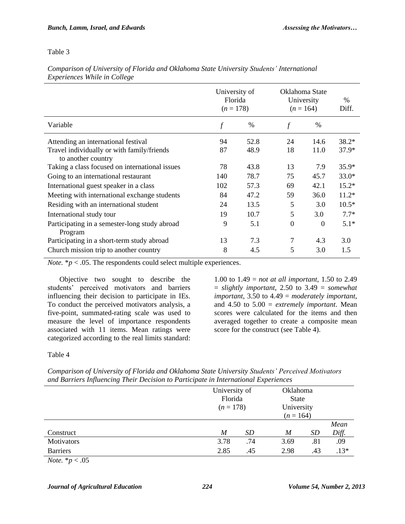|                                                                  | University of<br>Florida<br>$(n = 178)$ |      | Oklahoma State<br>University<br>$(n = 164)$ |          | $\frac{0}{0}$<br>Diff. |
|------------------------------------------------------------------|-----------------------------------------|------|---------------------------------------------|----------|------------------------|
| Variable                                                         | f                                       | $\%$ | f                                           | $\%$     |                        |
| Attending an international festival                              | 94                                      | 52.8 | 24                                          | 14.6     | $38.2*$                |
| Travel individually or with family/friends<br>to another country | 87                                      | 48.9 | 18                                          | 11.0     | $37.9*$                |
| Taking a class focused on international issues                   | 78                                      | 43.8 | 13                                          | 7.9      | $35.9*$                |
| Going to an international restaurant                             | 140                                     | 78.7 | 75                                          | 45.7     | $33.0*$                |
| International guest speaker in a class                           | 102                                     | 57.3 | 69                                          | 42.1     | $15.2*$                |
| Meeting with international exchange students                     | 84                                      | 47.2 | 59                                          | 36.0     | $11.2*$                |
| Residing with an international student                           | 24                                      | 13.5 | 5                                           | 3.0      | $10.5*$                |
| International study tour                                         | 19                                      | 10.7 | 5                                           | 3.0      | $7.7*$                 |
| Participating in a semester-long study abroad<br>Program         | 9                                       | 5.1  | $\boldsymbol{0}$                            | $\Omega$ | $5.1*$                 |
| Participating in a short-term study abroad                       | 13                                      | 7.3  | 7                                           | 4.3      | 3.0                    |
| Church mission trip to another country                           | 8                                       | 4.5  | 5                                           | 3.0      | 1.5                    |

*Comparison of University of Florida and Oklahoma State University Students' International Experiences While in College*

*Note.*  $* p < .05$ . The respondents could select multiple experiences.

Objective two sought to describe the students' perceived motivators and barriers influencing their decision to participate in IEs. To conduct the perceived motivators analysis, a five-point, summated-rating scale was used to measure the level of importance respondents associated with 11 items. Mean ratings were categorized according to the real limits standard:

1.00 to 1.49 = *not at all important*, 1.50 to 2.49 = *slightly important*, 2.50 to 3.49 = *somewhat important*, 3.50 to 4.49 = *moderately important*, and 4.50 to 5.00 = *extremely important*. Mean scores were calculated for the items and then averaged together to create a composite mean score for the construct (see Table 4).

Table 4

|                                                                  |                  | University of<br>Florida<br>$(n = 178)$ |                  | Oklahoma<br><b>State</b> |        |  |
|------------------------------------------------------------------|------------------|-----------------------------------------|------------------|--------------------------|--------|--|
|                                                                  |                  |                                         |                  | University               |        |  |
|                                                                  |                  |                                         | $(n = 164)$      |                          |        |  |
|                                                                  |                  |                                         |                  |                          | Mean   |  |
| Construct                                                        | $\boldsymbol{M}$ | SD                                      | $\boldsymbol{M}$ | SD                       | Diff.  |  |
| Motivators                                                       | 3.78             | .74                                     | 3.69             | .81                      | .09    |  |
| <b>Barriers</b>                                                  | 2.85             | .45                                     | 2.98             | .43                      | $.13*$ |  |
| $\mathbf{v}$ $\mathbf{v}$ $\mathbf{v}$ $\mathbf{v}$ $\mathbf{v}$ |                  |                                         |                  |                          |        |  |

*Comparison of University of Florida and Oklahoma State University Students' Perceived Motivators and Barriers Influencing Their Decision to Participate in International Experiences*

*Note.*  $*$ *p*  $< .05$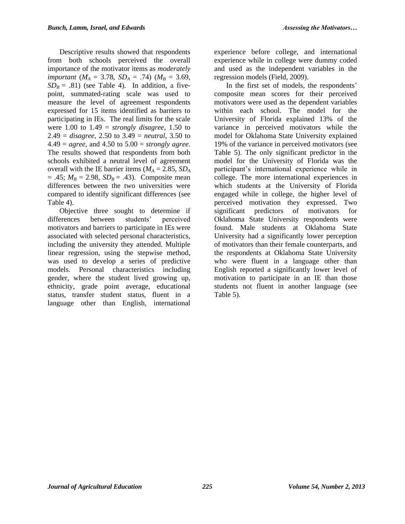Descriptive results showed that respondents from both schools perceived the overall importance of the motivator items as *moderately important* ( $M_A = 3.78$ ,  $SD_A = .74$ ) ( $M_B = 3.69$ ,  $SD_B = .81$ ) (see Table 4). In addition, a fivepoint, summated-rating scale was used to measure the level of agreement respondents expressed for 15 items identified as barriers to participating in IEs. The real limits for the scale were 1.00 to 1.49 = *strongly disagree*, 1.50 to 2.49 = *disagree*, 2.50 to 3.49 = *neutral*, 3.50 to 4.49 = *agree*, and 4.50 to 5.00 = *strongly agree*. The results showed that respondents from both schools exhibited a neutral level of agreement overall with the IE barrier items ( $M_A = 2.85$ ,  $SD_A$  $= .45; M_B = 2.98, SD_B = .43$ . Composite mean differences between the two universities were compared to identify significant differences (see Table 4).

Objective three sought to determine if differences between students' perceived motivators and barriers to participate in IEs were associated with selected personal characteristics, including the university they attended. Multiple linear regression, using the stepwise method, was used to develop a series of predictive models. Personal characteristics including gender, where the student lived growing up, ethnicity, grade point average, educational status, transfer student status, fluent in a language other than English, international

experience before college, and international experience while in college were dummy coded and used as the independent variables in the regression models (Field, 2009).

In the first set of models, the respondents' composite mean scores for their perceived motivators were used as the dependent variables within each school. The model for the University of Florida explained 13% of the variance in perceived motivators while the model for Oklahoma State University explained 19% of the variance in perceived motivators (see Table 5). The only significant predictor in the model for the University of Florida was the participant's international experience while in college. The more international experiences in which students at the University of Florida engaged while in college, the higher level of perceived motivation they expressed. Two significant predictors of motivators for Oklahoma State University respondents were found. Male students at Oklahoma State University had a significantly lower perception of motivators than their female counterparts, and the respondents at Oklahoma State University who were fluent in a language other than English reported a significantly lower level of motivation to participate in an IE than those students not fluent in another language (see Table 5).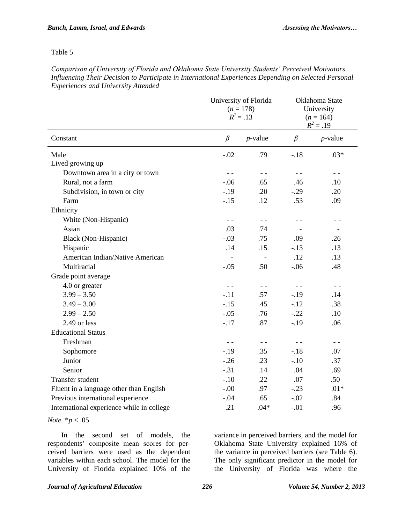*Comparison of University of Florida and Oklahoma State University Students' Perceived Motivators Influencing Their Decision to Participate in International Experiences Depending on Selected Personal Experiences and University Attended*

|                                           | University of Florida<br>$(n = 178)$<br>$R^2 = .13$ |                          | Oklahoma State<br>University<br>$(n = 164)$<br>$R^2 = .19$ |            |  |
|-------------------------------------------|-----------------------------------------------------|--------------------------|------------------------------------------------------------|------------|--|
| Constant                                  | $\beta$                                             | $p$ -value               | $\beta$                                                    | $p$ -value |  |
| Male                                      | $-.02$                                              | .79                      | $-.18$                                                     | $.03*$     |  |
| Lived growing up                          |                                                     |                          |                                                            |            |  |
| Downtown area in a city or town           | $ -$                                                | $ -$                     | $- -$                                                      | $- -$      |  |
| Rural, not a farm                         | $-.06$                                              | .65                      | .46                                                        | .10        |  |
| Subdivision, in town or city              | $-19$                                               | .20                      | $-0.29$                                                    | .20        |  |
| Farm                                      | $-.15$                                              | .12                      | .53                                                        | .09        |  |
| Ethnicity                                 |                                                     |                          |                                                            |            |  |
| White (Non-Hispanic)                      | $ -$                                                | $ -$                     | - -                                                        | - -        |  |
| Asian                                     | .03                                                 | .74                      |                                                            |            |  |
| Black (Non-Hispanic)                      | $-.03$                                              | .75                      | .09                                                        | .26        |  |
| Hispanic                                  | .14                                                 | .15                      | $-.13$                                                     | .13        |  |
| American Indian/Native American           | $\overline{\phantom{0}}$                            | $\overline{\phantom{a}}$ | .12                                                        | .13        |  |
| Multiracial                               | $-.05$                                              | .50                      | $-.06$                                                     | .48        |  |
| Grade point average                       |                                                     |                          |                                                            |            |  |
| 4.0 or greater                            |                                                     | $ -$                     | $- -$                                                      | $- -$      |  |
| $3.99 - 3.50$                             | $-.11$                                              | .57                      | $-19$                                                      | .14        |  |
| $3.49 - 3.00$                             | $-.15$                                              | .45                      | $-.12$                                                     | .38        |  |
| $2.99 - 2.50$                             | $-.05$                                              | .76                      | $-.22$                                                     | .10        |  |
| 2.49 or less                              | $-.17$                                              | .87                      | $-.19$                                                     | .06        |  |
| <b>Educational Status</b>                 |                                                     |                          |                                                            |            |  |
| Freshman                                  | $ -$                                                | $ -$                     | $ -$                                                       | $- -$      |  |
| Sophomore                                 | $-19$                                               | .35                      | $-.18$                                                     | .07        |  |
| Junior                                    | $-.26$                                              | .23                      | $-.10$                                                     | .37        |  |
| Senior                                    | $-.31$                                              | .14                      | .04                                                        | .69        |  |
| Transfer student                          | $-.10$                                              | .22                      | .07                                                        | .50        |  |
| Fluent in a language other than English   | $-.00$                                              | .97                      | $-.23$                                                     | $.01*$     |  |
| Previous international experience         | $-.04$                                              | .65                      | $-.02$                                                     | .84        |  |
| International experience while in college | .21                                                 | $.04*$                   | $-.01$                                                     | .96        |  |

*Note.* \**p* < .05

In the second set of models, the respondents' composite mean scores for perceived barriers were used as the dependent variables within each school. The model for the University of Florida explained 10% of the

variance in perceived barriers, and the model for Oklahoma State University explained 16% of the variance in perceived barriers (see Table 6). The only significant predictor in the model for the University of Florida was where the

#### *Journal of Agricultural Education 226 Volume 54, Number 2, 2013*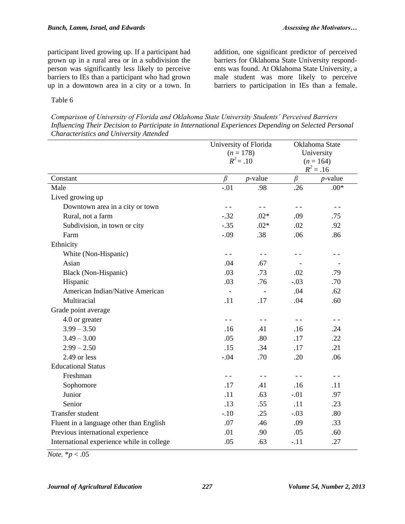participant lived growing up. If a participant had grown up in a rural area or in a subdivision the person was significantly less likely to perceive barriers to IEs than a participant who had grown up in a downtown area in a city or a town. In

addition, one significant predictor of perceived barriers for Oklahoma State University respondents was found. At Oklahoma State University, a male student was more likely to perceive barriers to participation in IEs than a female.

#### Table 6

*Comparison of University of Florida and Oklahoma State University Students' Perceived Barriers Influencing Their Decision to Participate in International Experiences Depending on Selected Personal Characteristics and University Attended*

|                                           |               | University of Florida    |         | Oklahoma State |  |  |
|-------------------------------------------|---------------|--------------------------|---------|----------------|--|--|
|                                           | $(n = 178)$   |                          |         | University     |  |  |
|                                           | $R^2 = .10$   |                          |         | $(n = 164)$    |  |  |
|                                           |               |                          |         | $R^2 = .16$    |  |  |
| Constant                                  | $\beta$       | $p$ -value               | $\beta$ | $p$ -value     |  |  |
| Male                                      | $-.01$        | .98                      | .26     | $.00*$         |  |  |
| Lived growing up                          |               |                          |         |                |  |  |
| Downtown area in a city or town           |               | $ -$                     |         | $ -$           |  |  |
| Rural, not a farm                         | $-.32$        | $.02*$                   | .09     | .75            |  |  |
| Subdivision, in town or city              | $-.35$        | $.02*$                   | .02     | .92            |  |  |
| Farm                                      | $-.09$        | .38                      | .06     | .86            |  |  |
| Ethnicity                                 |               |                          |         |                |  |  |
| White (Non-Hispanic)                      | $\sim$ $\sim$ | $ -$                     | $ -$    | $ -$           |  |  |
| Asian                                     | .04           | .67                      |         |                |  |  |
| Black (Non-Hispanic)                      | .03           | .73                      | .02     | .79            |  |  |
| Hispanic                                  | .03           | .76                      | $-.03$  | .70            |  |  |
| American Indian/Native American           |               | $\overline{\phantom{a}}$ | .04     | .62            |  |  |
| Multiracial                               | .11           | .17                      | .04     | .60            |  |  |
| Grade point average                       |               |                          |         |                |  |  |
| 4.0 or greater                            | $ -$          |                          | $ -$    | $ -$           |  |  |
| $3.99 - 3.50$                             | .16           | .41                      | .16     | .24            |  |  |
| $3.49 - 3.00$                             | .05           | .80                      | .17     | .22            |  |  |
| $2.99 - 2.50$                             | .15           | .34                      | .17     | .21            |  |  |
| 2.49 or less                              | $-.04$        | .70                      | .20     | .06            |  |  |
| <b>Educational Status</b>                 |               |                          |         |                |  |  |
| Freshman                                  | $ -$          | $ -$                     |         | $ -$           |  |  |
| Sophomore                                 | .17           | .41                      | .16     | .11            |  |  |
| Junior                                    | .11           | .63                      | $-.01$  | .97            |  |  |
| Senior                                    | .13           | .55                      | .11     | .23            |  |  |
| Transfer student                          | $-.10$        | .25                      | $-.03$  | .80            |  |  |
| Fluent in a language other than English   | .07           | .46                      | .09     | .33            |  |  |
| Previous international experience         | .01           | .90                      | .05     | .60            |  |  |
| International experience while in college | .05           | .63                      | $-.11$  | .27            |  |  |
|                                           |               |                          |         |                |  |  |

*Note.* \**p* < .05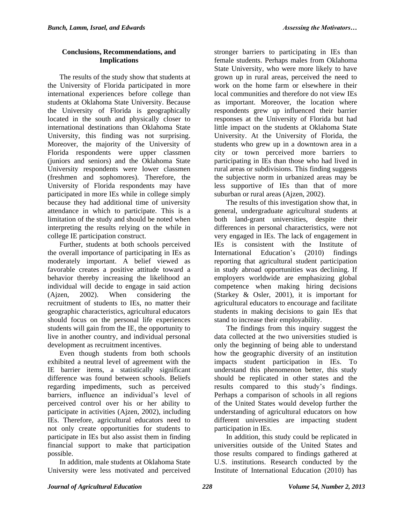#### **Conclusions, Recommendations, and Implications**

The results of the study show that students at the University of Florida participated in more international experiences before college than students at Oklahoma State University. Because the University of Florida is geographically located in the south and physically closer to international destinations than Oklahoma State University, this finding was not surprising. Moreover, the majority of the University of Florida respondents were upper classmen (juniors and seniors) and the Oklahoma State University respondents were lower classmen (freshmen and sophomores). Therefore, the University of Florida respondents may have participated in more IEs while in college simply because they had additional time of university attendance in which to participate. This is a limitation of the study and should be noted when interpreting the results relying on the while in college IE participation construct.

Further, students at both schools perceived the overall importance of participating in IEs as moderately important. A belief viewed as favorable creates a positive attitude toward a behavior thereby increasing the likelihood an individual will decide to engage in said action (Ajzen, 2002). When considering the recruitment of students to IEs, no matter their geographic characteristics, agricultural educators should focus on the personal life experiences students will gain from the IE, the opportunity to live in another country, and individual personal development as recruitment incentives.

Even though students from both schools exhibited a neutral level of agreement with the IE barrier items, a statistically significant difference was found between schools. Beliefs regarding impediments, such as perceived barriers, influence an individual's level of perceived control over his or her ability to participate in activities (Ajzen, 2002), including IEs. Therefore, agricultural educators need to not only create opportunities for students to participate in IEs but also assist them in finding financial support to make that participation possible.

In addition, male students at Oklahoma State University were less motivated and perceived

stronger barriers to participating in IEs than female students. Perhaps males from Oklahoma State University, who were more likely to have grown up in rural areas, perceived the need to work on the home farm or elsewhere in their local communities and therefore do not view IEs as important. Moreover, the location where respondents grew up influenced their barrier responses at the University of Florida but had little impact on the students at Oklahoma State University. At the University of Florida, the students who grew up in a downtown area in a city or town perceived more barriers to participating in IEs than those who had lived in rural areas or subdivisions. This finding suggests the subjective norm in urbanized areas may be less supportive of IEs than that of more suburban or rural areas (Ajzen, 2002).

The results of this investigation show that, in general, undergraduate agricultural students at both land-grant universities, despite their differences in personal characteristics, were not very engaged in IEs. The lack of engagement in IEs is consistent with the Institute of International Education's (2010) findings reporting that agricultural student participation in study abroad opportunities was declining. If employers worldwide are emphasizing global competence when making hiring decisions (Starkey & Osler, 2001), it is important for agricultural educators to encourage and facilitate students in making decisions to gain IEs that stand to increase their employability.

The findings from this inquiry suggest the data collected at the two universities studied is only the beginning of being able to understand how the geographic diversity of an institution impacts student participation in IEs. To understand this phenomenon better, this study should be replicated in other states and the results compared to this study's findings. Perhaps a comparison of schools in all regions of the United States would develop further the understanding of agricultural educators on how different universities are impacting student participation in IEs.

In addition, this study could be replicated in universities outside of the United States and those results compared to findings gathered at U.S. institutions. Research conducted by the Institute of International Education (2010) has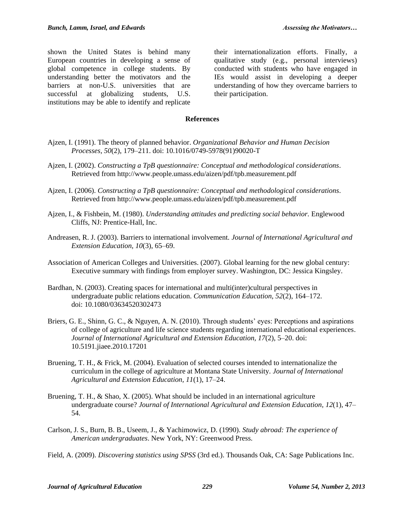shown the United States is behind many European countries in developing a sense of global competence in college students. By understanding better the motivators and the barriers at non-U.S. universities that are successful at globalizing students, U.S. institutions may be able to identify and replicate

their internationalization efforts. Finally, a qualitative study (e.g., personal interviews) conducted with students who have engaged in IEs would assist in developing a deeper understanding of how they overcame barriers to their participation.

#### **References**

- Ajzen, I. (1991). The theory of planned behavior. *Organizational Behavior and Human Decision Processes, 50*(2), 179–211. doi: 10.1016/0749-5978(91)90020-T
- Ajzen, I. (2002). *Constructing a TpB questionnaire: Conceptual and methodological considerations*. Retrieved from http://www.people.umass.edu/aizen/pdf/tpb.measurement.pdf
- Ajzen, I. (2006). *Constructing a TpB questionnaire: Conceptual and methodological considerations*. Retrieved from http://www.people.umass.edu/aizen/pdf/tpb.measurement.pdf
- Ajzen, I., & Fishbein, M. (1980). *Understanding attitudes and predicting social behavior.* Englewood Cliffs, NJ: Prentice-Hall, Inc.
- Andreasen, R. J. (2003). Barriers to international involvement*. Journal of International Agricultural and Extension Education, 10*(3), 65–69.
- Association of American Colleges and Universities. (2007). Global learning for the new global century: Executive summary with findings from employer survey. Washington, DC: Jessica Kingsley.
- Bardhan, N. (2003). Creating spaces for international and multi(inter)cultural perspectives in undergraduate public relations education. *Communication Education, 52*(2), 164–172. doi: 10.1080/03634520302473
- Briers, G. E., Shinn, G. C., & Nguyen, A. N. (2010). Through students' eyes: Perceptions and aspirations of college of agriculture and life science students regarding international educational experiences. *Journal of International Agricultural and Extension Education, 17*(2), 5–20. doi: 10.5191.jiaee.2010.17201
- Bruening, T. H., & Frick, M. (2004). Evaluation of selected courses intended to internationalize the curriculum in the college of agriculture at Montana State University*. Journal of International Agricultural and Extension Education, 11*(1), 17–24.
- Bruening, T. H., & Shao, X. (2005). What should be included in an international agriculture undergraduate course? *Journal of International Agricultural and Extension Education, 12*(1), 47– 54.
- Carlson, J. S., Burn, B. B., Useem, J., & Yachimowicz, D. (1990). *Study abroad: The experience of American undergraduates*. New York, NY: Greenwood Press.
- Field, A. (2009). *Discovering statistics using SPSS* (3rd ed.). Thousands Oak, CA: Sage Publications Inc.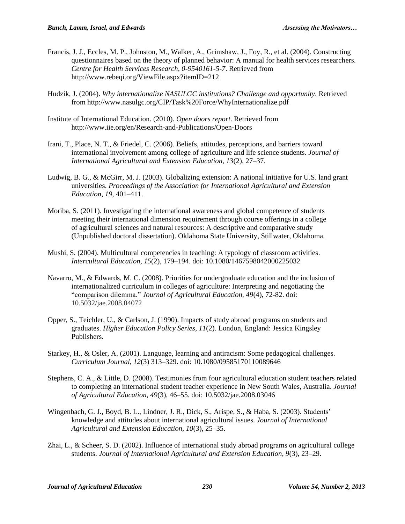- Francis, J. J., Eccles, M. P., Johnston, M., Walker, A., Grimshaw, J., Foy, R., et al. (2004). Constructing questionnaires based on the theory of planned behavior: A manual for health services researchers. *Centre for Health Services Research, 0-9540161-5-7*. Retrieved from http://www.rebeqi.org/ViewFile.aspx?itemID=212
- Hudzik, J. (2004). *Why internationalize NASULGC institutions? Challenge and opportunity.* Retrieved from http://www.nasulgc.org/CIP/Task%20Force/WhyInternationalize.pdf
- Institute of International Education. (2010). *Open doors report*. Retrieved from http://www.iie.org/en/Research-and-Publications/Open-Doors
- Irani, T., Place, N. T., & Friedel, C. (2006). Beliefs, attitudes, perceptions, and barriers toward international involvement among college of agriculture and life science students. *Journal of International Agricultural and Extension Education, 13*(2), 27–37.
- Ludwig, B. G., & McGirr, M. J. (2003). Globalizing extension: A national initiative for U.S. land grant universities. *Proceedings of the Association for International Agricultural and Extension Education, 19,* 401–411.
- Moriba, S. (2011). Investigating the international awareness and global competence of students meeting their international dimension requirement through course offerings in a college of agricultural sciences and natural resources: A descriptive and comparative study (Unpublished doctoral dissertation). Oklahoma State University, Stillwater, Oklahoma.
- Mushi, S. (2004). Multicultural competencies in teaching: A typology of classroom activities. *Intercultural Education, 15*(2), 179–194. doi: 10.1080/1467598042000225032
- Navarro, M., & Edwards, M. C. (2008). Priorities for undergraduate education and the inclusion of internationalized curriculum in colleges of agriculture: Interpreting and negotiating the "comparison dilemma." *Journal of Agricultural Education, 49*(4), 72-82. doi: 10.5032/jae.2008.04072
- Opper, S., Teichler, U., & Carlson, J. (1990). Impacts of study abroad programs on students and graduates. *Higher Education Policy Series, 11*(2). London, England: Jessica Kingsley Publishers.
- Starkey, H., & Osler, A. (2001). Language, learning and antiracism: Some pedagogical challenges. *Curriculum Journal, 12*(3) 313–329. doi: 10.1080/09585170110089646
- Stephens, C. A., & Little, D. (2008). Testimonies from four agricultural education student teachers related to completing an international student teacher experience in New South Wales, Australia. *Journal of Agricultural Education, 49*(3), 46–55. doi: 10.5032/jae.2008.03046
- Wingenbach, G. J., Boyd, B. L., Lindner, J. R., Dick, S., Arispe, S., & Haba, S. (2003). Students' knowledge and attitudes about international agricultural issues. *Journal of International Agricultural and Extension Education, 10*(3), 25–35.
- Zhai, L., & Scheer, S. D. (2002). Influence of international study abroad programs on agricultural college students. *Journal of International Agricultural and Extension Education, 9*(3), 23–29.